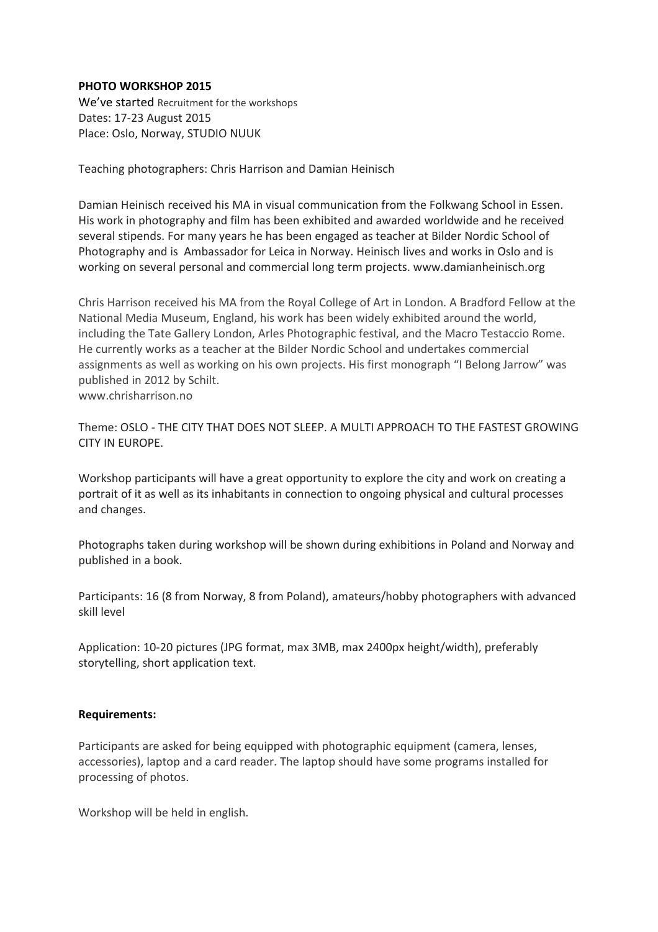## **PHOTO WORKSHOP 2015**

We've started Recruitment for the workshops Dates: 17-23 August 2015 Place: Oslo, Norway, STUDIO NUUK

Teaching photographers: Chris Harrison and Damian Heinisch

Damian Heinisch received his MA in visual communication from the Folkwang School in Essen. His work in photography and film has been exhibited and awarded worldwide and he received several stipends. For many years he has been engaged as teacher at Bilder Nordic School of Photography and is Ambassador for Leica in Norway. Heinisch lives and works in Oslo and is working on several personal and commercial long term projects. www.damianheinisch.org

Chris Harrison received his MA from the Royal College of Art in London. A Bradford Fellow at the National Media Museum, England, his work has been widely exhibited around the world, including the Tate Gallery London, Arles Photographic festival, and the Macro Testaccio Rome. He currently works as a teacher at the Bilder Nordic School and undertakes commercial assignments as well as working on his own projects. His first monograph "I Belong Jarrow" was published in 2012 by Schilt.

www.chrisharrison.no

Theme: OSLO - THE CITY THAT DOES NOT SLEEP. A MULTI APPROACH TO THE FASTEST GROWING CITY IN EUROPE.

Workshop participants will have a great opportunity to explore the city and work on creating a portrait of it as well as its inhabitants in connection to ongoing physical and cultural processes and changes.

Photographs taken during workshop will be shown during exhibitions in Poland and Norway and published in a book.

Participants: 16 (8 from Norway, 8 from Poland), amateurs/hobby photographers with advanced skill level

Application: 10-20 pictures (JPG format, max 3MB, max 2400px height/width), preferably storytelling, short application text.

## **Requirements:**

Participants are asked for being equipped with photographic equipment (camera, lenses, accessories), laptop and a card reader. The laptop should have some programs installed for processing of photos.

Workshop will be held in english.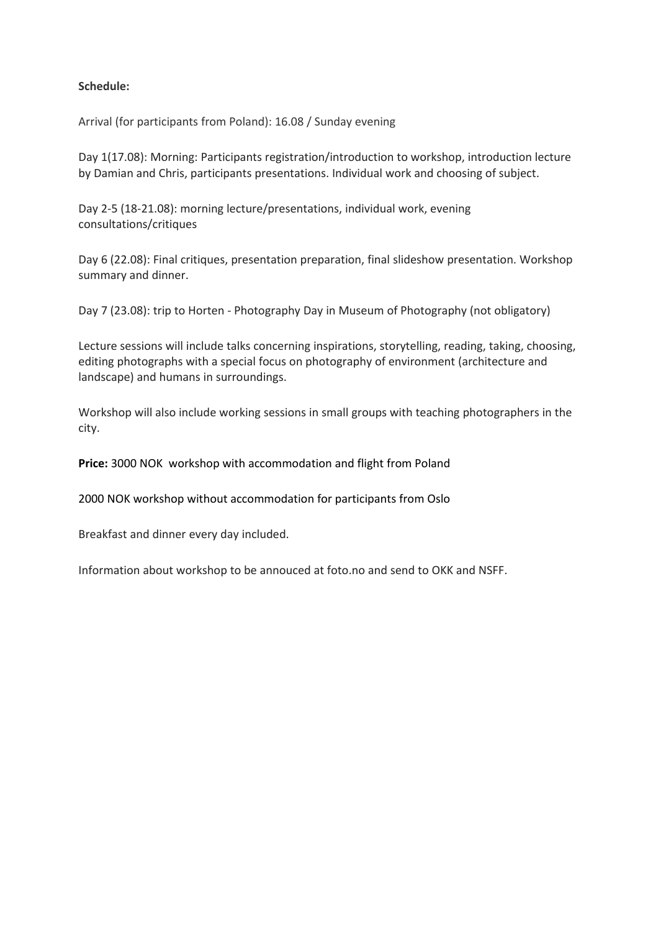## **Schedule:**

Arrival (for participants from Poland): 16.08 / Sunday evening

Day 1(17.08): Morning: Participants registration/introduction to workshop, introduction lecture by Damian and Chris, participants presentations. Individual work and choosing of subject.

Day 2-5 (18-21.08): morning lecture/presentations, individual work, evening consultations/critiques

Day 6 (22.08): Final critiques, presentation preparation, final slideshow presentation. Workshop summary and dinner.

Day 7 (23.08): trip to Horten - Photography Day in Museum of Photography (not obligatory)

Lecture sessions will include talks concerning inspirations, storytelling, reading, taking, choosing, editing photographs with a special focus on photography of environment (architecture and landscape) and humans in surroundings.

Workshop will also include working sessions in small groups with teaching photographers in the city.

**Price:** 3000 NOK workshop with accommodation and flight from Poland

2000 NOK workshop without accommodation for participants from Oslo

Breakfast and dinner every day included.

Information about workshop to be annouced at foto.no and send to OKK and NSFF.